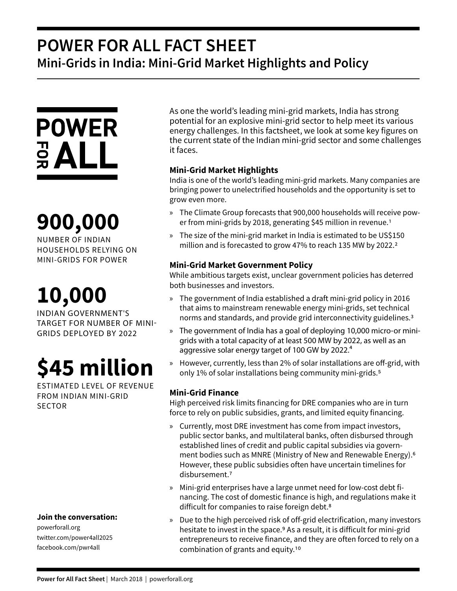## **POWER FOR ALL FACT SHEET Mini-Grids in India: Mini-Grid Market Highlights and Policy**



# **900,000**

NUMBER OF INDIAN HOUSEHOLDS RELYING ON MINI-GRIDS FOR POWER

# **10,000**

INDIAN GOVERNMENT'S TARGET FOR NUMBER OF MINI-GRIDS DEPLOYED BY 2022

# **\$45 million**

ESTIMATED LEVEL OF REVENUE FROM INDIAN MINI-GRID **SECTOR** 

### **Join the conversation:**

powerforall.org twitter.com/power4all2025 facebook.com/pwr4all

As one the world's leading mini-grid markets, India has strong potential for an explosive mini-grid sector to help meet its various energy challenges. In this factsheet, we look at some key figures on the current state of the Indian mini-grid sector and some challenges it faces.

### **Mini-Grid Market Highlights**

India is one of the world's leading mini-grid markets. Many companies are bringing power to unelectrified households and the opportunity is set to grow even more.

- » The Climate Group forecasts that 900,000 households will receive power from mini-grids by 2018, generating \$45 million in revenue.<sup>1</sup>
- » The size of the mini-grid market in India is estimated to be US\$150 million and is forecasted to grow 47% to reach 135 MW by 2022.<sup>2</sup>

### **Mini-Grid Market Government Policy**

While ambitious targets exist, unclear government policies has deterred both businesses and investors.

- » The government of India established a draft mini-grid policy in 2016 that aims to mainstream renewable energy mini-grids, set technical norms and standards, and provide grid interconnectivity guidelines.3
- » The government of India has a goal of deploying 10,000 micro-or minigrids with a total capacity of at least 500 MW by 2022, as well as an aggressive solar energy target of 100 GW by 2022.<sup>4</sup>
- » However, currently, less than 2% of solar installations are off-grid, with only 1% of solar installations being community mini-grids.5

### **Mini-Grid Finance**

High perceived risk limits financing for DRE companies who are in turn force to rely on public subsidies, grants, and limited equity financing.

- » Currently, most DRE investment has come from impact investors, public sector banks, and multilateral banks, often disbursed through established lines of credit and public capital subsidies via government bodies such as MNRE (Ministry of New and Renewable Energy).6 However, these public subsidies often have uncertain timelines for disbursement.7
- » Mini-grid enterprises have a large unmet need for low-cost debt financing. The cost of domestic finance is high, and regulations make it difficult for companies to raise foreign debt.8
- » Due to the high perceived risk of off-grid electrification, many investors hesitate to invest in the space.<sup>9</sup> As a result, it is difficult for mini-grid entrepreneurs to receive finance, and they are often forced to rely on a combination of grants and equity.10